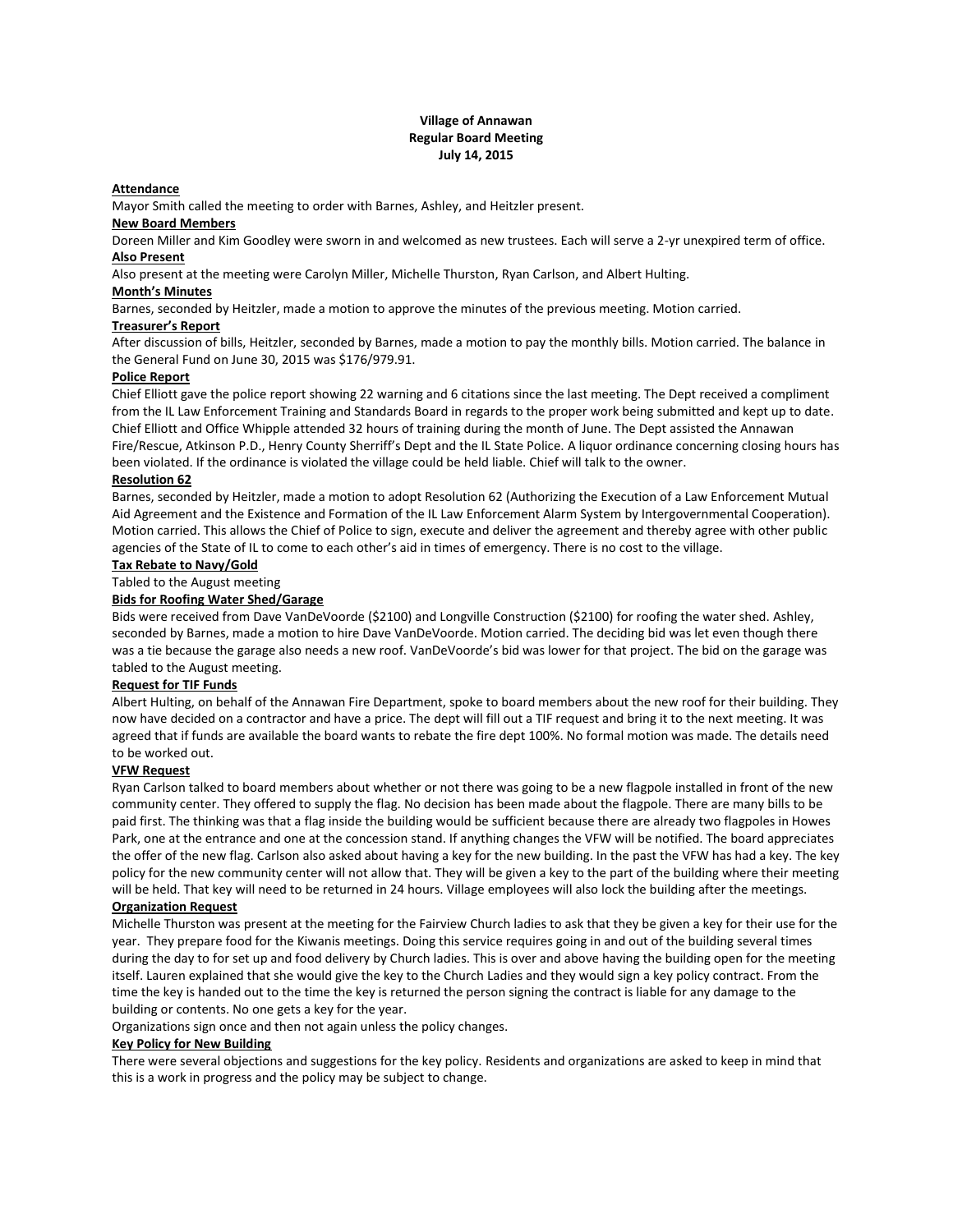## **Village of Annawan Regular Board Meeting July 14, 2015**

### **Attendance**

Mayor Smith called the meeting to order with Barnes, Ashley, and Heitzler present.

## **New Board Members**

Doreen Miller and Kim Goodley were sworn in and welcomed as new trustees. Each will serve a 2-yr unexpired term of office. **Also Present**

Also present at the meeting were Carolyn Miller, Michelle Thurston, Ryan Carlson, and Albert Hulting.

## **Month's Minutes**

Barnes, seconded by Heitzler, made a motion to approve the minutes of the previous meeting. Motion carried.

#### **Treasurer's Report**

After discussion of bills, Heitzler, seconded by Barnes, made a motion to pay the monthly bills. Motion carried. The balance in the General Fund on June 30, 2015 was \$176/979.91.

### **Police Report**

Chief Elliott gave the police report showing 22 warning and 6 citations since the last meeting. The Dept received a compliment from the IL Law Enforcement Training and Standards Board in regards to the proper work being submitted and kept up to date. Chief Elliott and Office Whipple attended 32 hours of training during the month of June. The Dept assisted the Annawan Fire/Rescue, Atkinson P.D., Henry County Sherriff's Dept and the IL State Police. A liquor ordinance concerning closing hours has been violated. If the ordinance is violated the village could be held liable. Chief will talk to the owner.

#### **Resolution 62**

Barnes, seconded by Heitzler, made a motion to adopt Resolution 62 (Authorizing the Execution of a Law Enforcement Mutual Aid Agreement and the Existence and Formation of the IL Law Enforcement Alarm System by Intergovernmental Cooperation). Motion carried. This allows the Chief of Police to sign, execute and deliver the agreement and thereby agree with other public agencies of the State of IL to come to each other's aid in times of emergency. There is no cost to the village.

## **Tax Rebate to Navy/Gold**

## Tabled to the August meeting

## **Bids for Roofing Water Shed/Garage**

Bids were received from Dave VanDeVoorde (\$2100) and Longville Construction (\$2100) for roofing the water shed. Ashley, seconded by Barnes, made a motion to hire Dave VanDeVoorde. Motion carried. The deciding bid was let even though there was a tie because the garage also needs a new roof. VanDeVoorde's bid was lower for that project. The bid on the garage was tabled to the August meeting.

#### **Request for TIF Funds**

Albert Hulting, on behalf of the Annawan Fire Department, spoke to board members about the new roof for their building. They now have decided on a contractor and have a price. The dept will fill out a TIF request and bring it to the next meeting. It was agreed that if funds are available the board wants to rebate the fire dept 100%. No formal motion was made. The details need to be worked out.

# **VFW Request**

Ryan Carlson talked to board members about whether or not there was going to be a new flagpole installed in front of the new community center. They offered to supply the flag. No decision has been made about the flagpole. There are many bills to be paid first. The thinking was that a flag inside the building would be sufficient because there are already two flagpoles in Howes Park, one at the entrance and one at the concession stand. If anything changes the VFW will be notified. The board appreciates the offer of the new flag. Carlson also asked about having a key for the new building. In the past the VFW has had a key. The key policy for the new community center will not allow that. They will be given a key to the part of the building where their meeting will be held. That key will need to be returned in 24 hours. Village employees will also lock the building after the meetings.

### **Organization Request**

Michelle Thurston was present at the meeting for the Fairview Church ladies to ask that they be given a key for their use for the year. They prepare food for the Kiwanis meetings. Doing this service requires going in and out of the building several times during the day to for set up and food delivery by Church ladies. This is over and above having the building open for the meeting itself. Lauren explained that she would give the key to the Church Ladies and they would sign a key policy contract. From the time the key is handed out to the time the key is returned the person signing the contract is liable for any damage to the building or contents. No one gets a key for the year.

Organizations sign once and then not again unless the policy changes.

# **Key Policy for New Building**

There were several objections and suggestions for the key policy. Residents and organizations are asked to keep in mind that this is a work in progress and the policy may be subject to change.